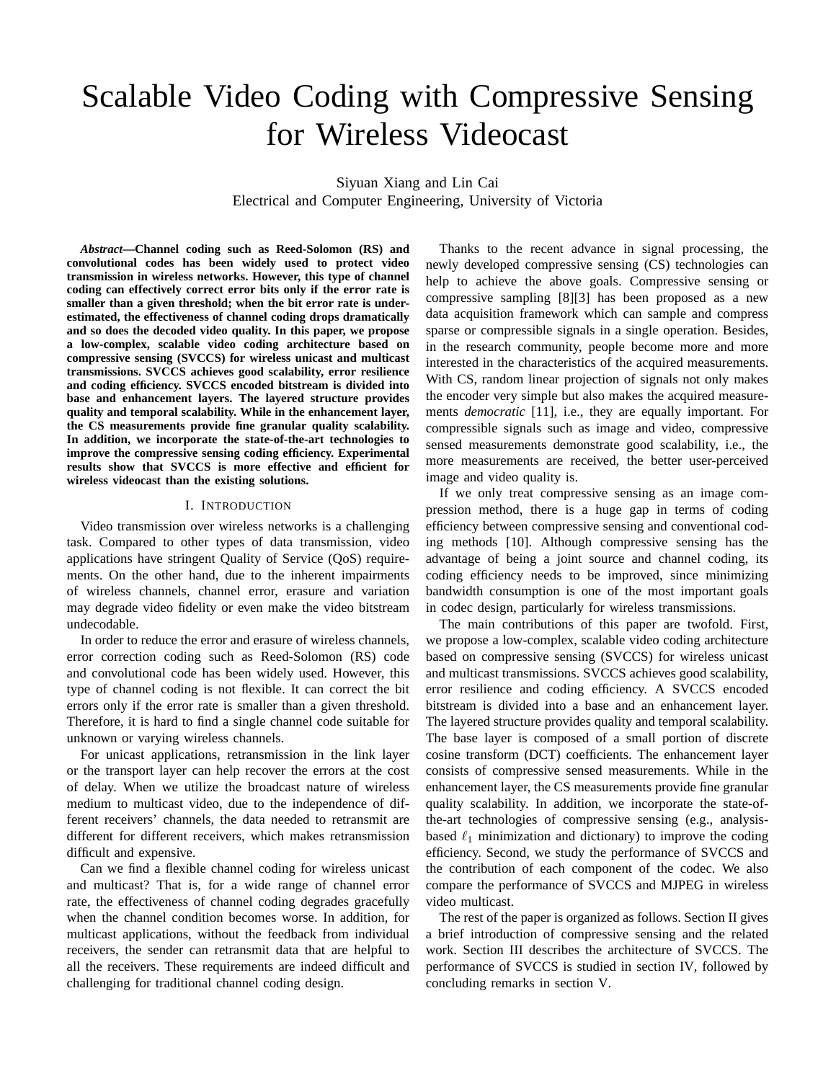# Scalable Video Coding with Compressive Sensing for Wireless Videocast

Siyuan Xiang and Lin Cai Electrical and Computer Engineering, University of Victoria

*Abstract***—Channel coding such as Reed-Solomon (RS) and convolutional codes has been widely used to protect video transmission in wireless networks. However, this type of channel coding can effectively correct error bits only if the error rate is smaller than a given threshold; when the bit error rate is underestimated, the effectiveness of channel coding drops dramatically and so does the decoded video quality. In this paper, we propose a low-complex, scalable video coding architecture based on compressive sensing (SVCCS) for wireless unicast and multicast transmissions. SVCCS achieves good scalability, error resilience and coding efficiency. SVCCS encoded bitstream is divided into base and enhancement layers. The layered structure provides quality and temporal scalability. While in the enhancement layer, the CS measurements provide fine granular quality scalability. In addition, we incorporate the state-of-the-art technologies to improve the compressive sensing coding efficiency. Experimental results show that SVCCS is more effective and efficient for wireless videocast than the existing solutions.**

## I. INTRODUCTION

Video transmission over wireless networks is a challenging task. Compared to other types of data transmission, video applications have stringent Quality of Service (QoS) requirements. On the other hand, due to the inherent impairments of wireless channels, channel error, erasure and variation may degrade video fidelity or even make the video bitstream undecodable.

In order to reduce the error and erasure of wireless channels, error correction coding such as Reed-Solomon (RS) code and convolutional code has been widely used. However, this type of channel coding is not flexible. It can correct the bit errors only if the error rate is smaller than a given threshold. Therefore, it is hard to find a single channel code suitable for unknown or varying wireless channels.

For unicast applications, retransmission in the link layer or the transport layer can help recover the errors at the cost of delay. When we utilize the broadcast nature of wireless medium to multicast video, due to the independence of different receivers' channels, the data needed to retransmit are different for different receivers, which makes retransmission difficult and expensive.

Can we find a flexible channel coding for wireless unicast and multicast? That is, for a wide range of channel error rate, the effectiveness of channel coding degrades gracefully when the channel condition becomes worse. In addition, for multicast applications, without the feedback from individual receivers, the sender can retransmit data that are helpful to all the receivers. These requirements are indeed difficult and challenging for traditional channel coding design.

Thanks to the recent advance in signal processing, the newly developed compressive sensing (CS) technologies can help to achieve the above goals. Compressive sensing or compressive sampling [8][3] has been proposed as a new data acquisition framework which can sample and compress sparse or compressible signals in a single operation. Besides, in the research community, people become more and more interested in the characteristics of the acquired measurements. With CS, random linear projection of signals not only makes the encoder very simple but also makes the acquired measurements *democratic* [11], i.e., they are equally important. For compressible signals such as image and video, compressive sensed measurements demonstrate good scalability, i.e., the more measurements are received, the better user-perceived image and video quality is.

If we only treat compressive sensing as an image compression method, there is a huge gap in terms of coding efficiency between compressive sensing and conventional coding methods [10]. Although compressive sensing has the advantage of being a joint source and channel coding, its coding efficiency needs to be improved, since minimizing bandwidth consumption is one of the most important goals in codec design, particularly for wireless transmissions.

The main contributions of this paper are twofold. First, we propose a low-complex, scalable video coding architecture based on compressive sensing (SVCCS) for wireless unicast and multicast transmissions. SVCCS achieves good scalability, error resilience and coding efficiency. A SVCCS encoded bitstream is divided into a base and an enhancement layer. The layered structure provides quality and temporal scalability. The base layer is composed of a small portion of discrete cosine transform (DCT) coefficients. The enhancement layer consists of compressive sensed measurements. While in the enhancement layer, the CS measurements provide fine granular quality scalability. In addition, we incorporate the state-ofthe-art technologies of compressive sensing (e.g., analysisbased  $\ell_1$  minimization and dictionary) to improve the coding efficiency. Second, we study the performance of SVCCS and the contribution of each component of the codec. We also compare the performance of SVCCS and MJPEG in wireless video multicast.

The rest of the paper is organized as follows. Section II gives a brief introduction of compressive sensing and the related work. Section III describes the architecture of SVCCS. The performance of SVCCS is studied in section IV, followed by concluding remarks in section V.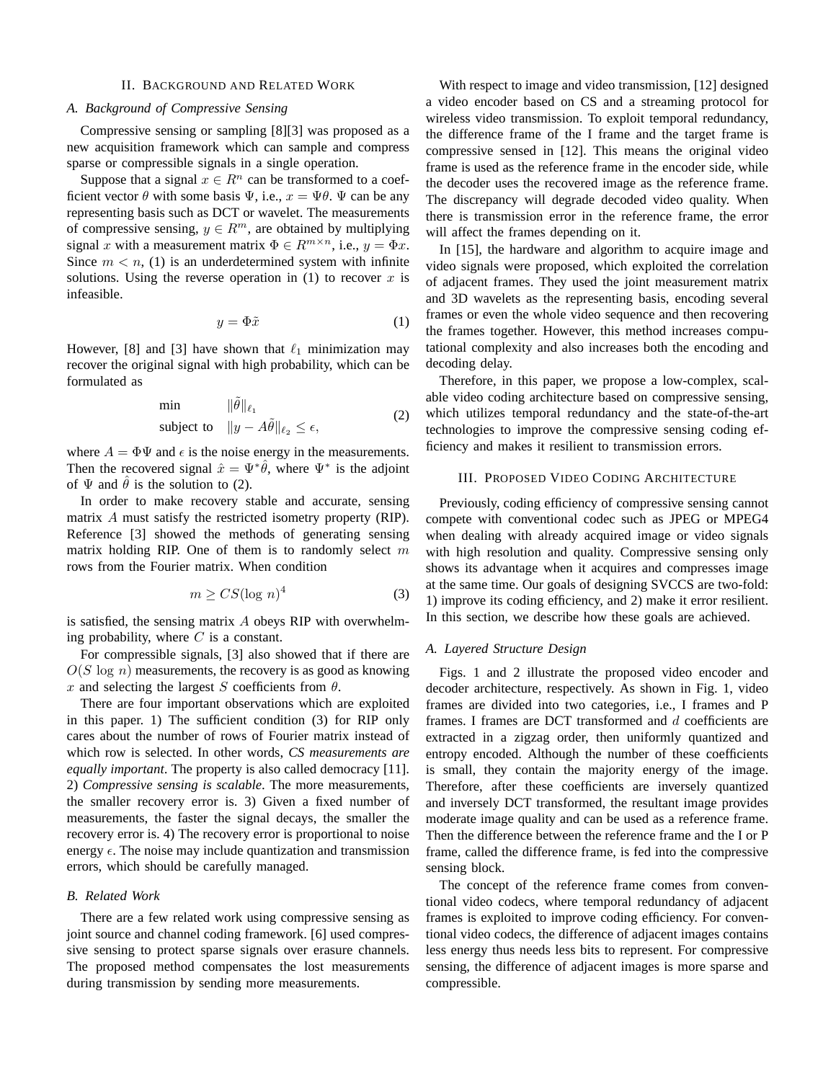### II. BACKGROUND AND RELATED WORK

# *A. Background of Compressive Sensing*

Compressive sensing or sampling [8][3] was proposed as a new acquisition framework which can sample and compress sparse or compressible signals in a single operation.

Suppose that a signal  $x \in \mathbb{R}^n$  can be transformed to a coefficient vector  $\theta$  with some basis  $\Psi$ , i.e.,  $x = \Psi \theta$ .  $\Psi$  can be any representing basis such as DCT or wavelet. The measurements of compressive sensing,  $y \in R^m$ , are obtained by multiplying signal x with a measurement matrix  $\Phi \in R^{m \times n}$ , i.e.,  $y = \Phi x$ . Since  $m < n$ , (1) is an underdetermined system with infinite solutions. Using the reverse operation in  $(1)$  to recover x is infeasible.

$$
y = \Phi \tilde{x} \tag{1}
$$

However, [8] and [3] have shown that  $\ell_1$  minimization may recover the original signal with high probability, which can be formulated as

$$
\begin{array}{ll}\n\min & \|\tilde{\theta}\|_{\ell_1} \\
\text{subject to} & \|y - A\tilde{\theta}\|_{\ell_2} \le \epsilon,\n\end{array} \tag{2}
$$

where  $A = \Phi \Psi$  and  $\epsilon$  is the noise energy in the measurements. Then the recovered signal  $\hat{x} = \Psi^* \hat{\theta}$ , where  $\Psi^*$  is the adjoint of  $\Psi$  and  $\hat{\theta}$  is the solution to (2).

In order to make recovery stable and accurate, sensing matrix A must satisfy the restricted isometry property (RIP). Reference [3] showed the methods of generating sensing matrix holding RIP. One of them is to randomly select  $m$ rows from the Fourier matrix. When condition

$$
m \ge CS(\log n)^4 \tag{3}
$$

is satisfied, the sensing matrix  $A$  obeys RIP with overwhelming probability, where  $C$  is a constant.

For compressible signals, [3] also showed that if there are  $O(S \log n)$  measurements, the recovery is as good as knowing x and selecting the largest S coefficients from  $\theta$ .

There are four important observations which are exploited in this paper. 1) The sufficient condition (3) for RIP only cares about the number of rows of Fourier matrix instead of which row is selected. In other words, *CS measurements are equally important*. The property is also called democracy [11]. 2) *Compressive sensing is scalable*. The more measurements, the smaller recovery error is. 3) Given a fixed number of measurements, the faster the signal decays, the smaller the recovery error is. 4) The recovery error is proportional to noise energy  $\epsilon$ . The noise may include quantization and transmission errors, which should be carefully managed.

## *B. Related Work*

There are a few related work using compressive sensing as joint source and channel coding framework. [6] used compressive sensing to protect sparse signals over erasure channels. The proposed method compensates the lost measurements during transmission by sending more measurements.

With respect to image and video transmission, [12] designed a video encoder based on CS and a streaming protocol for wireless video transmission. To exploit temporal redundancy, the difference frame of the I frame and the target frame is compressive sensed in [12]. This means the original video frame is used as the reference frame in the encoder side, while the decoder uses the recovered image as the reference frame. The discrepancy will degrade decoded video quality. When there is transmission error in the reference frame, the error will affect the frames depending on it.

In [15], the hardware and algorithm to acquire image and video signals were proposed, which exploited the correlation of adjacent frames. They used the joint measurement matrix and 3D wavelets as the representing basis, encoding several frames or even the whole video sequence and then recovering the frames together. However, this method increases computational complexity and also increases both the encoding and decoding delay.

Therefore, in this paper, we propose a low-complex, scalable video coding architecture based on compressive sensing, which utilizes temporal redundancy and the state-of-the-art technologies to improve the compressive sensing coding efficiency and makes it resilient to transmission errors.

## III. PROPOSED VIDEO CODING ARCHITECTURE

Previously, coding efficiency of compressive sensing cannot compete with conventional codec such as JPEG or MPEG4 when dealing with already acquired image or video signals with high resolution and quality. Compressive sensing only shows its advantage when it acquires and compresses image at the same time. Our goals of designing SVCCS are two-fold: 1) improve its coding efficiency, and 2) make it error resilient. In this section, we describe how these goals are achieved.

## *A. Layered Structure Design*

Figs. 1 and 2 illustrate the proposed video encoder and decoder architecture, respectively. As shown in Fig. 1, video frames are divided into two categories, i.e., I frames and P frames. I frames are DCT transformed and d coefficients are extracted in a zigzag order, then uniformly quantized and entropy encoded. Although the number of these coefficients is small, they contain the majority energy of the image. Therefore, after these coefficients are inversely quantized and inversely DCT transformed, the resultant image provides moderate image quality and can be used as a reference frame. Then the difference between the reference frame and the I or P frame, called the difference frame, is fed into the compressive sensing block.

The concept of the reference frame comes from conventional video codecs, where temporal redundancy of adjacent frames is exploited to improve coding efficiency. For conventional video codecs, the difference of adjacent images contains less energy thus needs less bits to represent. For compressive sensing, the difference of adjacent images is more sparse and compressible.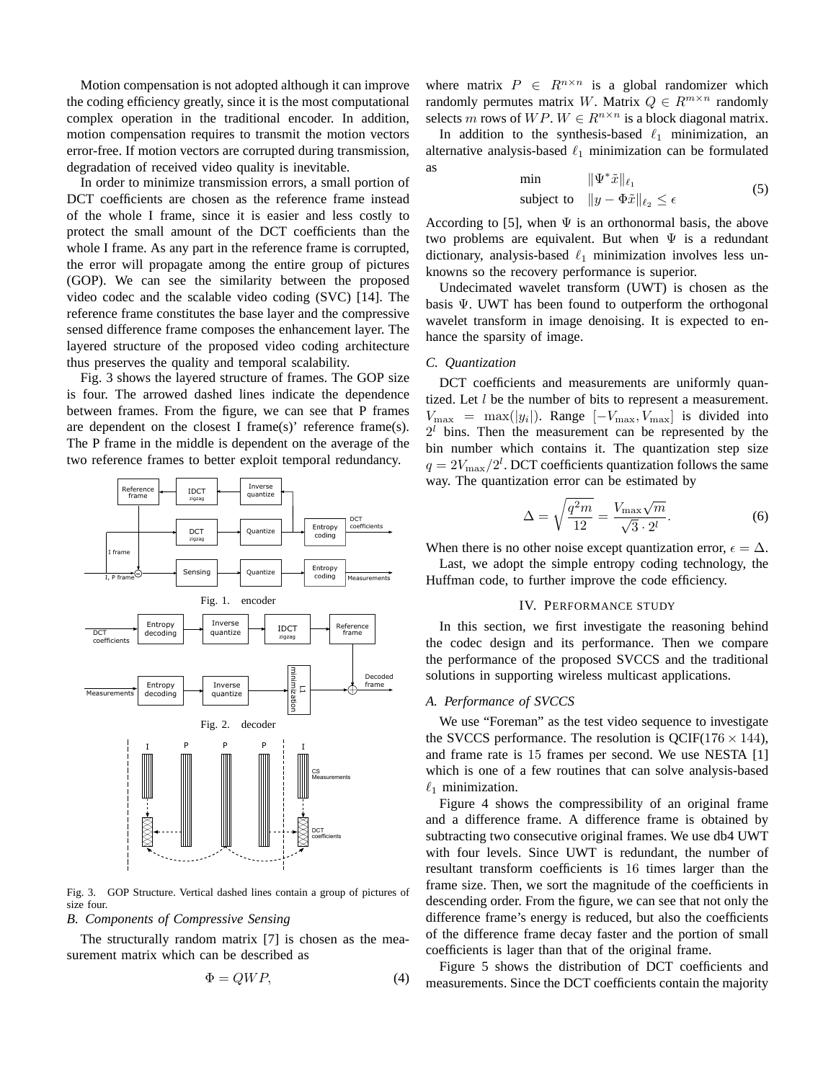Motion compensation is not adopted although it can improve the coding efficiency greatly, since it is the most computational complex operation in the traditional encoder. In addition, motion compensation requires to transmit the motion vectors error-free. If motion vectors are corrupted during transmission, degradation of received video quality is inevitable.

In order to minimize transmission errors, a small portion of DCT coefficients are chosen as the reference frame instead of the whole I frame, since it is easier and less costly to protect the small amount of the DCT coefficients than the whole I frame. As any part in the reference frame is corrupted, the error will propagate among the entire group of pictures (GOP). We can see the similarity between the proposed video codec and the scalable video coding (SVC) [14]. The reference frame constitutes the base layer and the compressive sensed difference frame composes the enhancement layer. The layered structure of the proposed video coding architecture thus preserves the quality and temporal scalability.

Fig. 3 shows the layered structure of frames. The GOP size is four. The arrowed dashed lines indicate the dependence between frames. From the figure, we can see that P frames are dependent on the closest I frame(s)' reference frame(s). The P frame in the middle is dependent on the average of the two reference frames to better exploit temporal redundancy.



Fig. 3. GOP Structure. Vertical dashed lines contain a group of pictures of size four.

*B. Components of Compressive Sensing*

The structurally random matrix [7] is chosen as the measurement matrix which can be described as

$$
\Phi = QWP,\tag{4}
$$

where matrix  $P \in R^{n \times n}$  is a global randomizer which randomly permutes matrix W. Matrix  $Q \in R^{m \times n}$  randomly selects m rows of  $WP$ .  $W \in R^{n \times n}$  is a block diagonal matrix.

In addition to the synthesis-based  $\ell_1$  minimization, an alternative analysis-based  $\ell_1$  minimization can be formulated as

$$
\begin{array}{ll}\n\min & \|\Psi^*\tilde{x}\|_{\ell_1} \\
\text{subject to} & \|y - \Phi\tilde{x}\|_{\ell_2} \le \epsilon\n\end{array} \tag{5}
$$

According to [5], when  $\Psi$  is an orthonormal basis, the above two problems are equivalent. But when  $\Psi$  is a redundant dictionary, analysis-based  $\ell_1$  minimization involves less unknowns so the recovery performance is superior.

Undecimated wavelet transform (UWT) is chosen as the basis Ψ. UWT has been found to outperform the orthogonal wavelet transform in image denoising. It is expected to enhance the sparsity of image.

### *C. Quantization*

DCT coefficients and measurements are uniformly quantized. Let *l* be the number of bits to represent a measurement.  $V_{\text{max}} = \text{max}(|y_i|)$ . Range  $[-V_{\text{max}}, V_{\text{max}}]$  is divided into  $2<sup>l</sup>$  bins. Then the measurement can be represented by the bin number which contains it. The quantization step size  $q = 2V_{\text{max}}/2^l$ . DCT coefficients quantization follows the same way. The quantization error can be estimated by

$$
\Delta = \sqrt{\frac{q^2 m}{12}} = \frac{V_{\text{max}}\sqrt{m}}{\sqrt{3} \cdot 2^l}.
$$
 (6)

When there is no other noise except quantization error,  $\epsilon = \Delta$ .

Last, we adopt the simple entropy coding technology, the Huffman code, to further improve the code efficiency.

#### IV. PERFORMANCE STUDY

In this section, we first investigate the reasoning behind the codec design and its performance. Then we compare the performance of the proposed SVCCS and the traditional solutions in supporting wireless multicast applications.

# *A. Performance of SVCCS*

We use "Foreman" as the test video sequence to investigate the SVCCS performance. The resolution is OCIF( $176 \times 144$ ), and frame rate is 15 frames per second. We use NESTA [1] which is one of a few routines that can solve analysis-based  $\ell_1$  minimization.

Figure 4 shows the compressibility of an original frame and a difference frame. A difference frame is obtained by subtracting two consecutive original frames. We use db4 UWT with four levels. Since UWT is redundant, the number of resultant transform coefficients is 16 times larger than the frame size. Then, we sort the magnitude of the coefficients in descending order. From the figure, we can see that not only the difference frame's energy is reduced, but also the coefficients of the difference frame decay faster and the portion of small coefficients is lager than that of the original frame.

Figure 5 shows the distribution of DCT coefficients and measurements. Since the DCT coefficients contain the majority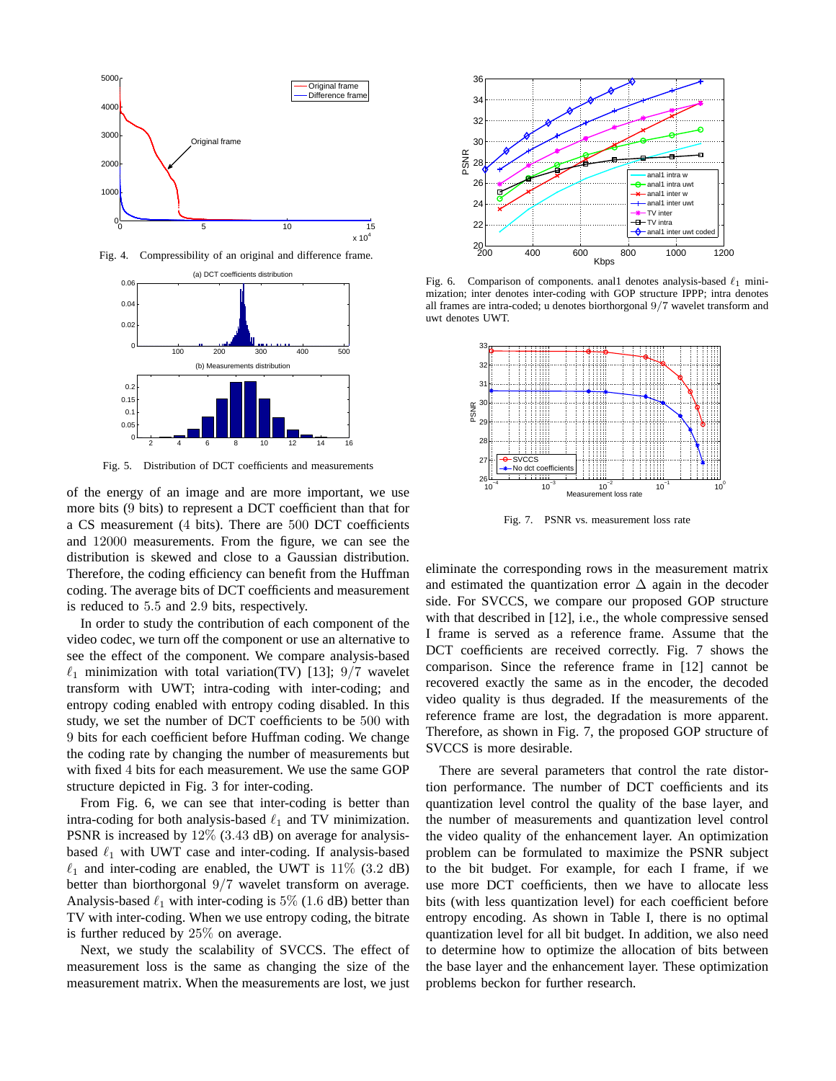

Fig. 4. Compressibility of an original and difference frame.



Fig. 5. Distribution of DCT coefficients and measurements

of the energy of an image and are more important, we use more bits (9 bits) to represent a DCT coefficient than that for a CS measurement (4 bits). There are 500 DCT coefficients and 12000 measurements. From the figure, we can see the distribution is skewed and close to a Gaussian distribution. Therefore, the coding efficiency can benefit from the Huffman coding. The average bits of DCT coefficients and measurement is reduced to 5.5 and 2.9 bits, respectively.

In order to study the contribution of each component of the video codec, we turn off the component or use an alternative to see the effect of the component. We compare analysis-based  $\ell_1$  minimization with total variation(TV) [13]; 9/7 wavelet transform with UWT; intra-coding with inter-coding; and entropy coding enabled with entropy coding disabled. In this study, we set the number of DCT coefficients to be 500 with 9 bits for each coefficient before Huffman coding. We change the coding rate by changing the number of measurements but with fixed 4 bits for each measurement. We use the same GOP structure depicted in Fig. 3 for inter-coding.

From Fig. 6, we can see that inter-coding is better than intra-coding for both analysis-based  $\ell_1$  and TV minimization. PSNR is increased by 12% (3.43 dB) on average for analysisbased  $\ell_1$  with UWT case and inter-coding. If analysis-based  $\ell_1$  and inter-coding are enabled, the UWT is 11% (3.2 dB) better than biorthorgonal 9/7 wavelet transform on average. Analysis-based  $\ell_1$  with inter-coding is 5% (1.6 dB) better than TV with inter-coding. When we use entropy coding, the bitrate is further reduced by 25% on average.

Next, we study the scalability of SVCCS. The effect of measurement loss is the same as changing the size of the measurement matrix. When the measurements are lost, we just



Fig. 6. Comparison of components. and 1 denotes analysis-based  $\ell_1$  minimization; inter denotes inter-coding with GOP structure IPPP; intra denotes all frames are intra-coded; u denotes biorthorgonal 9/7 wavelet transform and uwt denotes UWT.



Fig. 7. PSNR vs. measurement loss rate

eliminate the corresponding rows in the measurement matrix and estimated the quantization error  $\Delta$  again in the decoder side. For SVCCS, we compare our proposed GOP structure with that described in [12], i.e., the whole compressive sensed I frame is served as a reference frame. Assume that the DCT coefficients are received correctly. Fig. 7 shows the comparison. Since the reference frame in [12] cannot be recovered exactly the same as in the encoder, the decoded video quality is thus degraded. If the measurements of the reference frame are lost, the degradation is more apparent. Therefore, as shown in Fig. 7, the proposed GOP structure of SVCCS is more desirable.

There are several parameters that control the rate distortion performance. The number of DCT coefficients and its quantization level control the quality of the base layer, and the number of measurements and quantization level control the video quality of the enhancement layer. An optimization problem can be formulated to maximize the PSNR subject to the bit budget. For example, for each I frame, if we use more DCT coefficients, then we have to allocate less bits (with less quantization level) for each coefficient before entropy encoding. As shown in Table I, there is no optimal quantization level for all bit budget. In addition, we also need to determine how to optimize the allocation of bits between the base layer and the enhancement layer. These optimization problems beckon for further research.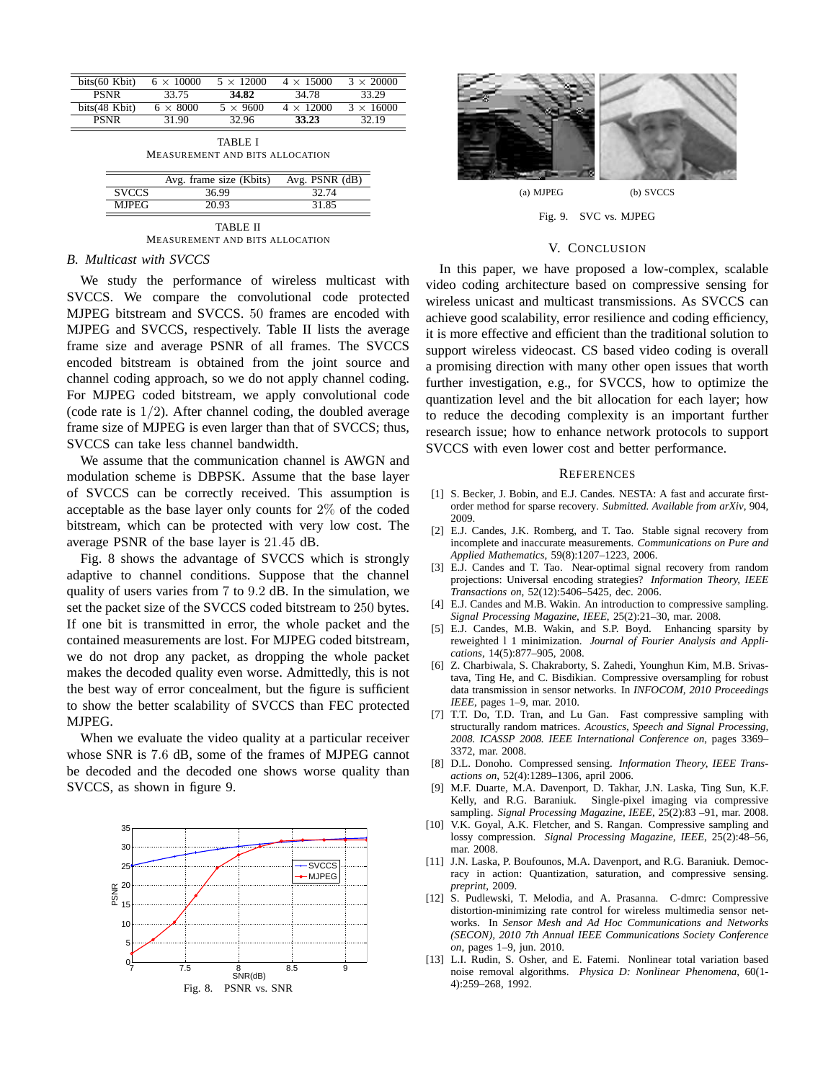| bits(60 Kbit) | $6 \times 10000$ | $5 \times 12000$ | $4 \times 15000$ | $3 \times 20000$ |
|---------------|------------------|------------------|------------------|------------------|
| <b>PSNR</b>   | 33.75            | 34.82            | 34.78            | 33.29            |
| bits(48 Kbit) | $6 \times 8000$  | $5 \times 9600$  | $4 \times 12000$ | $3 \times 16000$ |
| <b>PSNR</b>   | 31.90            | 32.96            | 33.23            | 32.19            |

TABLE I MEASUREMENT AND BITS ALLOCATION

|              | Avg. frame size (Kbits) | Avg. $PSNR$ ( $dB$ ) |  |  |
|--------------|-------------------------|----------------------|--|--|
| <b>SVCCS</b> | 36.99                   | 32.74                |  |  |
| <b>MJPEG</b> | 20.93                   | 31.85                |  |  |
| <b>TANET</b> |                         |                      |  |  |

TABLE II MEASUREMENT AND BITS ALLOCATION

## *B. Multicast with SVCCS*

We study the performance of wireless multicast with SVCCS. We compare the convolutional code protected MJPEG bitstream and SVCCS. 50 frames are encoded with MJPEG and SVCCS, respectively. Table II lists the average frame size and average PSNR of all frames. The SVCCS encoded bitstream is obtained from the joint source and channel coding approach, so we do not apply channel coding. For MJPEG coded bitstream, we apply convolutional code (code rate is  $1/2$ ). After channel coding, the doubled average frame size of MJPEG is even larger than that of SVCCS; thus, SVCCS can take less channel bandwidth.

We assume that the communication channel is AWGN and modulation scheme is DBPSK. Assume that the base layer of SVCCS can be correctly received. This assumption is acceptable as the base layer only counts for 2% of the coded bitstream, which can be protected with very low cost. The average PSNR of the base layer is 21.45 dB.

Fig. 8 shows the advantage of SVCCS which is strongly adaptive to channel conditions. Suppose that the channel quality of users varies from 7 to 9.2 dB. In the simulation, we set the packet size of the SVCCS coded bitstream to 250 bytes. If one bit is transmitted in error, the whole packet and the contained measurements are lost. For MJPEG coded bitstream, we do not drop any packet, as dropping the whole packet makes the decoded quality even worse. Admittedly, this is not the best way of error concealment, but the figure is sufficient to show the better scalability of SVCCS than FEC protected MJPEG.

When we evaluate the video quality at a particular receiver whose SNR is 7.6 dB, some of the frames of MJPEG cannot be decoded and the decoded one shows worse quality than SVCCS, as shown in figure 9.





Fig. 9. SVC vs. MJPEG

## V. CONCLUSION

In this paper, we have proposed a low-complex, scalable video coding architecture based on compressive sensing for wireless unicast and multicast transmissions. As SVCCS can achieve good scalability, error resilience and coding efficiency, it is more effective and efficient than the traditional solution to support wireless videocast. CS based video coding is overall a promising direction with many other open issues that worth further investigation, e.g., for SVCCS, how to optimize the quantization level and the bit allocation for each layer; how to reduce the decoding complexity is an important further research issue; how to enhance network protocols to support SVCCS with even lower cost and better performance.

#### **REFERENCES**

- [1] S. Becker, J. Bobin, and E.J. Candes. NESTA: A fast and accurate firstorder method for sparse recovery. *Submitted. Available from arXiv*, 904, 2009.
- [2] E.J. Candes, J.K. Romberg, and T. Tao. Stable signal recovery from incomplete and inaccurate measurements. *Communications on Pure and Applied Mathematics*, 59(8):1207–1223, 2006.
- [3] E.J. Candes and T. Tao. Near-optimal signal recovery from random projections: Universal encoding strategies? *Information Theory, IEEE Transactions on*, 52(12):5406–5425, dec. 2006.
- [4] E.J. Candes and M.B. Wakin. An introduction to compressive sampling. *Signal Processing Magazine, IEEE*, 25(2):21–30, mar. 2008.
- [5] E.J. Candes, M.B. Wakin, and S.P. Boyd. Enhancing sparsity by reweighted l 1 minimization. *Journal of Fourier Analysis and Applications*, 14(5):877–905, 2008.
- [6] Z. Charbiwala, S. Chakraborty, S. Zahedi, Younghun Kim, M.B. Srivastava, Ting He, and C. Bisdikian. Compressive oversampling for robust data transmission in sensor networks. In *INFOCOM, 2010 Proceedings IEEE*, pages 1–9, mar. 2010.
- [7] T.T. Do, T.D. Tran, and Lu Gan. Fast compressive sampling with structurally random matrices. *Acoustics, Speech and Signal Processing, 2008. ICASSP 2008. IEEE International Conference on*, pages 3369– 3372, mar. 2008.
- [8] D.L. Donoho. Compressed sensing. *Information Theory, IEEE Transactions on*, 52(4):1289–1306, april 2006.
- [9] M.F. Duarte, M.A. Davenport, D. Takhar, J.N. Laska, Ting Sun, K.F. Kelly, and R.G. Baraniuk. Single-pixel imaging via compressive sampling. *Signal Processing Magazine, IEEE*, 25(2):83 –91, mar. 2008.
- [10] V.K. Goyal, A.K. Fletcher, and S. Rangan. Compressive sampling and lossy compression. *Signal Processing Magazine, IEEE*, 25(2):48–56, mar. 2008.
- [11] J.N. Laska, P. Boufounos, M.A. Davenport, and R.G. Baraniuk. Democracy in action: Quantization, saturation, and compressive sensing. *preprint*, 2009.
- [12] S. Pudlewski, T. Melodia, and A. Prasanna. C-dmrc: Compressive distortion-minimizing rate control for wireless multimedia sensor networks. In *Sensor Mesh and Ad Hoc Communications and Networks (SECON), 2010 7th Annual IEEE Communications Society Conference on*, pages 1–9, jun. 2010.
- [13] L.I. Rudin, S. Osher, and E. Fatemi. Nonlinear total variation based noise removal algorithms. *Physica D: Nonlinear Phenomena*, 60(1- 4):259–268, 1992.